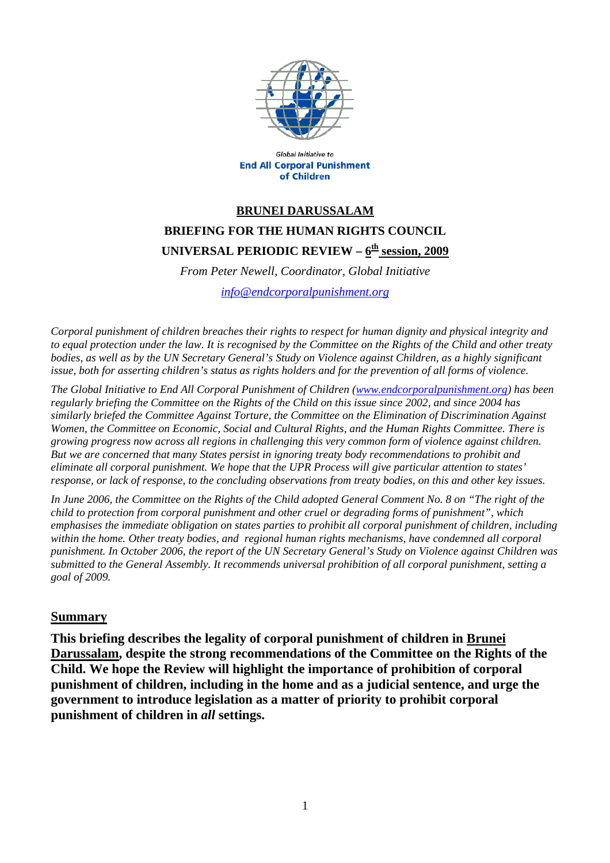

**Global Initiative to End All Corporal Punishment** of Children

## **BRUNEI DARUSSALAM BRIEFING FOR THE HUMAN RIGHTS COUNCIL**  UNIVERSAL PERIODIC REVIEW – 6<sup>th</sup> session, 2009

*From Peter Newell, Coordinator, Global Initiative* 

*[info@endcorporalpunishment.org](mailto:info@endcorporalpunishment.org)*

*Corporal punishment of children breaches their rights to respect for human dignity and physical integrity and to equal protection under the law. It is recognised by the Committee on the Rights of the Child and other treaty*  bodies, as well as by the UN Secretary General's Study on Violence against Children, as a highly significant *issue, both for asserting children's status as rights holders and for the prevention of all forms of violence.* 

*The Global Initiative to End All Corporal Punishment of Children [\(www.endcorporalpunishment.org](http://www.endcorporalpunishment.org/)) has been regularly briefing the Committee on the Rights of the Child on this issue since 2002, and since 2004 has similarly briefed the Committee Against Torture, the Committee on the Elimination of Discrimination Against Women, the Committee on Economic, Social and Cultural Rights, and the Human Rights Committee. There is growing progress now across all regions in challenging this very common form of violence against children. But we are concerned that many States persist in ignoring treaty body recommendations to prohibit and eliminate all corporal punishment. We hope that the UPR Process will give particular attention to states' response, or lack of response, to the concluding observations from treaty bodies, on this and other key issues.* 

*In June 2006, the Committee on the Rights of the Child adopted General Comment No. 8 on "The right of the child to protection from corporal punishment and other cruel or degrading forms of punishment", which emphasises the immediate obligation on states parties to prohibit all corporal punishment of children, including within the home. Other treaty bodies, and regional human rights mechanisms, have condemned all corporal punishment. In October 2006, the report of the UN Secretary General's Study on Violence against Children was submitted to the General Assembly. It recommends universal prohibition of all corporal punishment, setting a goal of 2009.*

## **Summary**

**This briefing describes the legality of corporal punishment of children in Brunei Darussalam, despite the strong recommendations of the Committee on the Rights of the Child. We hope the Review will highlight the importance of prohibition of corporal punishment of children, including in the home and as a judicial sentence, and urge the government to introduce legislation as a matter of priority to prohibit corporal punishment of children in** *all* **settings.**